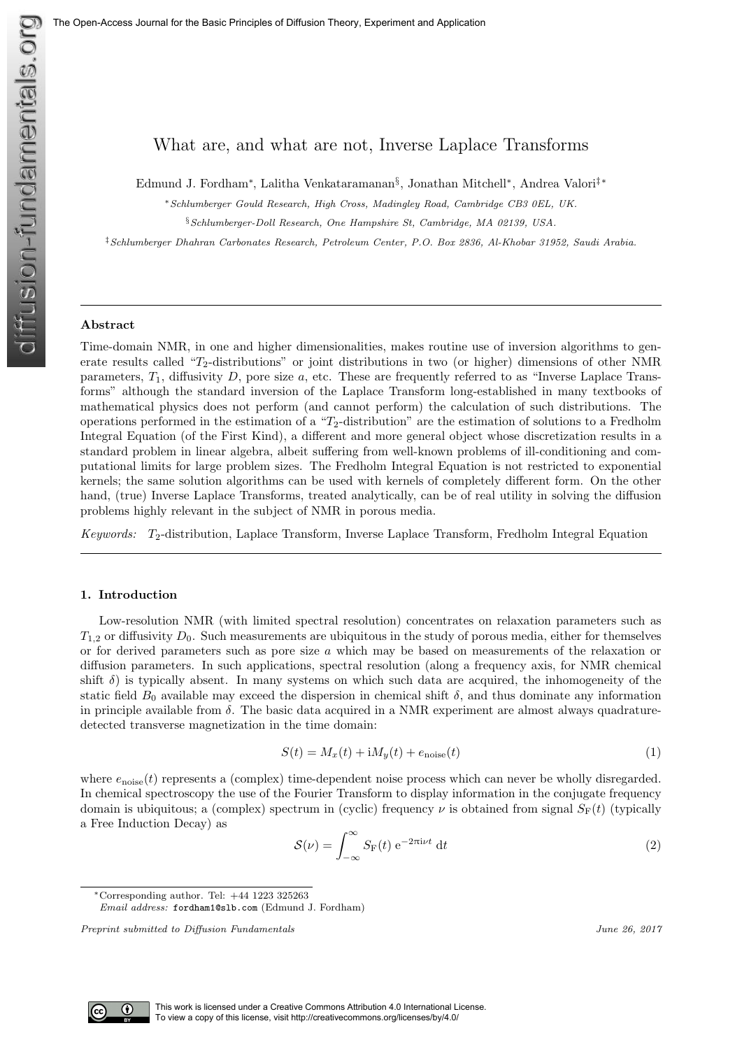# What are, and what are not, Inverse Laplace Transforms

Edmund J. Fordham<sup>∗</sup> , Lalitha Venkataramanan§ , Jonathan Mitchell<sup>∗</sup> , Andrea Valori‡∗

<sup>∗</sup>Schlumberger Gould Research, High Cross, Madingley Road, Cambridge CB3 0EL, UK.

§Schlumberger-Doll Research, One Hampshire St, Cambridge, MA 02139, USA.

‡Schlumberger Dhahran Carbonates Research, Petroleum Center, P.O. Box 2836, Al-Khobar 31952, Saudi Arabia.

# Abstract

Time-domain NMR, in one and higher dimensionalities, makes routine use of inversion algorithms to generate results called " $T_2$ -distributions" or joint distributions in two (or higher) dimensions of other NMR parameters,  $T_1$ , diffusivity D, pore size a, etc. These are frequently referred to as "Inverse Laplace Transforms" although the standard inversion of the Laplace Transform long-established in many textbooks of mathematical physics does not perform (and cannot perform) the calculation of such distributions. The operations performed in the estimation of a " $T_2$ -distribution" are the estimation of solutions to a Fredholm Integral Equation (of the First Kind), a different and more general object whose discretization results in a standard problem in linear algebra, albeit suffering from well-known problems of ill-conditioning and computational limits for large problem sizes. The Fredholm Integral Equation is not restricted to exponential kernels; the same solution algorithms can be used with kernels of completely different form. On the other hand, (true) Inverse Laplace Transforms, treated analytically, can be of real utility in solving the diffusion problems highly relevant in the subject of NMR in porous media.

Keywords:  $T_2$ -distribution, Laplace Transform, Inverse Laplace Transform, Fredholm Integral Equation

# 1. Introduction

Low-resolution NMR (with limited spectral resolution) concentrates on relaxation parameters such as  $T_{1,2}$  or diffusivity  $D_0$ . Such measurements are ubiquitous in the study of porous media, either for themselves or for derived parameters such as pore size  $a$  which may be based on measurements of the relaxation or diffusion parameters. In such applications, spectral resolution (along a frequency axis, for NMR chemical shift  $\delta$ ) is typically absent. In many systems on which such data are acquired, the inhomogeneity of the static field  $B_0$  available may exceed the dispersion in chemical shift  $\delta$ , and thus dominate any information in principle available from  $\delta$ . The basic data acquired in a NMR experiment are almost always quadraturedetected transverse magnetization in the time domain:

$$
S(t) = M_x(t) + \mathrm{i}M_y(t) + e_{\text{noise}}(t) \tag{1}
$$

where  $e_{\text{noise}}(t)$  represents a (complex) time-dependent noise process which can never be wholly disregarded. In chemical spectroscopy the use of the Fourier Transform to display information in the conjugate frequency domain is ubiquitous; a (complex) spectrum in (cyclic) frequency  $\nu$  is obtained from signal  $S_F(t)$  (typically a Free Induction Decay) as

$$
S(\nu) = \int_{-\infty}^{\infty} S_{\mathcal{F}}(t) e^{-2\pi i \nu t} dt
$$
 (2)

<sup>∗</sup>Corresponding author. Tel: +44 1223 325263 Email address: fordham1@slb.com (Edmund J. Fordham)



Preprint submitted to Diffusion Fundamentals June 26, 2017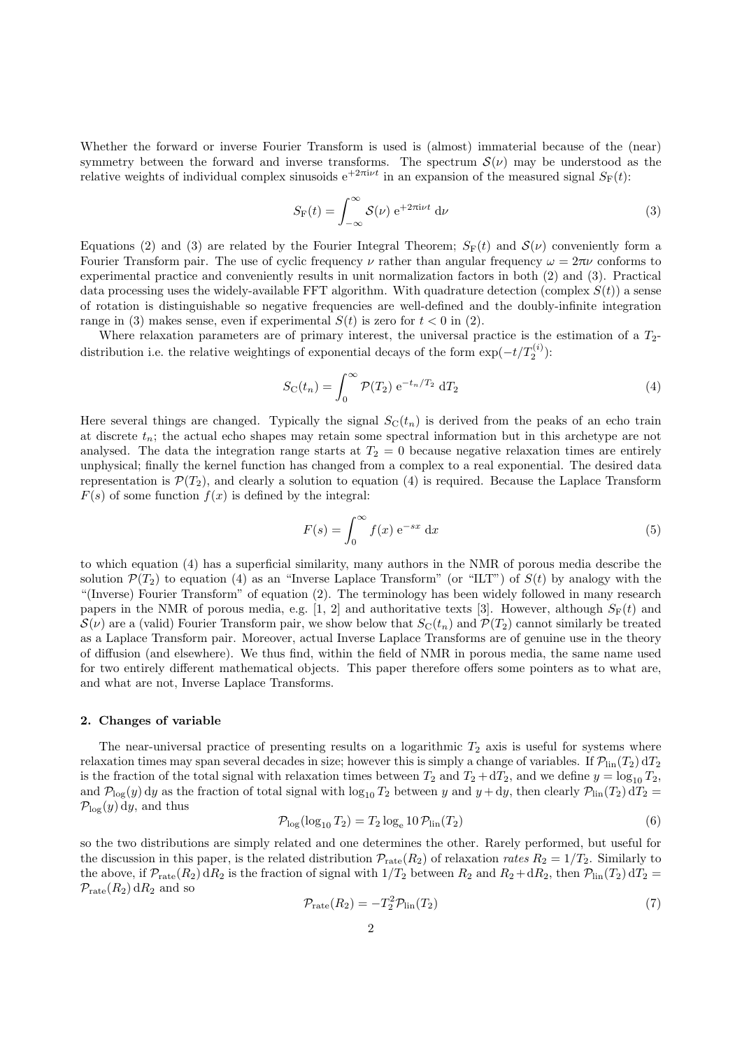Whether the forward or inverse Fourier Transform is used is (almost) immaterial because of the (near) symmetry between the forward and inverse transforms. The spectrum  $\mathcal{S}(\nu)$  may be understood as the relative weights of individual complex sinusoids  $e^{+2\pi i\nu t}$  in an expansion of the measured signal  $S_F(t)$ :

$$
S_{\mathcal{F}}(t) = \int_{-\infty}^{\infty} \mathcal{S}(\nu) e^{+2\pi i \nu t} d\nu
$$
 (3)

Equations (2) and (3) are related by the Fourier Integral Theorem;  $S_F(t)$  and  $S(\nu)$  conveniently form a Fourier Transform pair. The use of cyclic frequency  $\nu$  rather than angular frequency  $\omega = 2\pi\nu$  conforms to experimental practice and conveniently results in unit normalization factors in both (2) and (3). Practical data processing uses the widely-available FFT algorithm. With quadrature detection (complex  $S(t)$ ) a sense of rotation is distinguishable so negative frequencies are well-defined and the doubly-infinite integration range in (3) makes sense, even if experimental  $S(t)$  is zero for  $t < 0$  in (2).

Where relaxation parameters are of primary interest, the universal practice is the estimation of a  $T_2$ distribution i.e. the relative weightings of exponential decays of the form  $\exp(-t/T_2^{(i)})$ :

$$
S_{\rm C}(t_n) = \int_0^\infty \mathcal{P}(T_2) \, \mathrm{e}^{-t_n/T_2} \, \mathrm{d}T_2 \tag{4}
$$

Here several things are changed. Typically the signal  $S<sub>C</sub>(t<sub>n</sub>)$  is derived from the peaks of an echo train at discrete  $t_n$ ; the actual echo shapes may retain some spectral information but in this archetype are not analysed. The data the integration range starts at  $T_2 = 0$  because negative relaxation times are entirely unphysical; finally the kernel function has changed from a complex to a real exponential. The desired data representation is  $\mathcal{P}(T_2)$ , and clearly a solution to equation (4) is required. Because the Laplace Transform  $F(s)$  of some function  $f(x)$  is defined by the integral:

$$
F(s) = \int_0^\infty f(x) e^{-sx} dx
$$
 (5)

to which equation (4) has a superficial similarity, many authors in the NMR of porous media describe the solution  $\mathcal{P}(T_2)$  to equation (4) as an "Inverse Laplace Transform" (or "ILT") of  $S(t)$  by analogy with the "(Inverse) Fourier Transform" of equation (2). The terminology has been widely followed in many research papers in the NMR of porous media, e.g. [1, 2] and authoritative texts [3]. However, although  $S_F(t)$  and  $S(\nu)$  are a (valid) Fourier Transform pair, we show below that  $S_{\rm C}(t_n)$  and  $\mathcal{P}(T_2)$  cannot similarly be treated as a Laplace Transform pair. Moreover, actual Inverse Laplace Transforms are of genuine use in the theory of diffusion (and elsewhere). We thus find, within the field of NMR in porous media, the same name used for two entirely different mathematical objects. This paper therefore offers some pointers as to what are, and what are not, Inverse Laplace Transforms.

#### 2. Changes of variable

The near-universal practice of presenting results on a logarithmic  $T_2$  axis is useful for systems where relaxation times may span several decades in size; however this is simply a change of variables. If  $\mathcal{P}_{lin}(T_2) dT_2$ is the fraction of the total signal with relaxation times between  $T_2$  and  $T_2 + dT_2$ , and we define  $y = \log_{10} T_2$ , and  $\mathcal{P}_{\log}(y)$  dy as the fraction of total signal with  $\log_{10} T_2$  between y and  $y + dy$ , then clearly  $\mathcal{P}_{\text{lin}}(T_2) dT_2 =$  $\mathcal{P}_{\text{log}}(y)$  dy, and thus

$$
\mathcal{P}_{\text{log}}(\log_{10} T_2) = T_2 \log_e 10 \mathcal{P}_{\text{lin}}(T_2)
$$
\n
$$
(6)
$$

so the two distributions are simply related and one determines the other. Rarely performed, but useful for the discussion in this paper, is the related distribution  $\mathcal{P}_{\text{rate}}(R_2)$  of relaxation rates  $R_2 = 1/T_2$ . Similarly to the above, if  $\mathcal{P}_{\text{rate}}(R_2) dR_2$  is the fraction of signal with  $1/T_2$  between  $R_2$  and  $R_2 + dR_2$ , then  $\mathcal{P}_{\text{lin}}(T_2) dT_2 =$  $\mathcal{P}_{\text{rate}}(R_2) dR_2$  and so

$$
\mathcal{P}_{\text{rate}}(R_2) = -T_2^2 \mathcal{P}_{\text{lin}}(T_2) \tag{7}
$$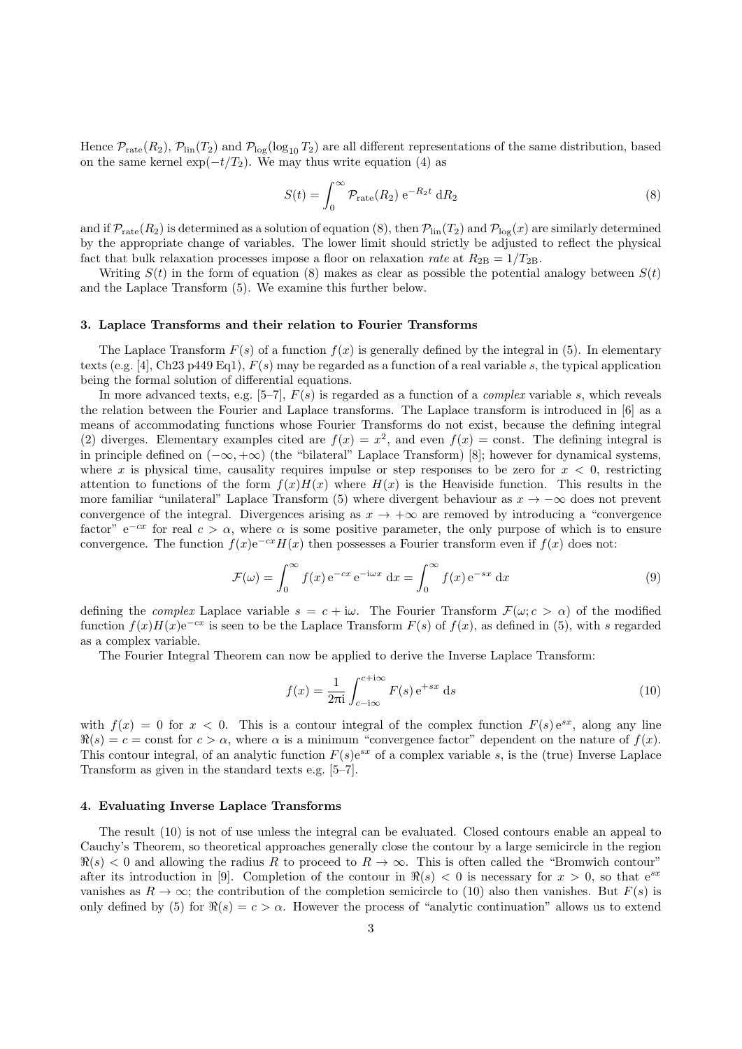Hence  $\mathcal{P}_{\text{rate}}(R_2)$ ,  $\mathcal{P}_{\text{lin}}(T_2)$  and  $\mathcal{P}_{\text{log}}(\log_{10} T_2)$  are all different representations of the same distribution, based on the same kernel  $\exp(-t/T_2)$ . We may thus write equation (4) as

$$
S(t) = \int_0^\infty \mathcal{P}_{\text{rate}}(R_2) e^{-R_2 t} dR_2
$$
\n(8)

and if  $\mathcal{P}_{\text{rate}}(R_2)$  is determined as a solution of equation (8), then  $\mathcal{P}_{\text{lin}}(T_2)$  and  $\mathcal{P}_{\text{log}}(x)$  are similarly determined by the appropriate change of variables. The lower limit should strictly be adjusted to reflect the physical fact that bulk relaxation processes impose a floor on relaxation rate at  $R_{2B} = 1/T_{2B}$ .

Writing  $S(t)$  in the form of equation (8) makes as clear as possible the potential analogy between  $S(t)$ and the Laplace Transform (5). We examine this further below.

#### 3. Laplace Transforms and their relation to Fourier Transforms

The Laplace Transform  $F(s)$  of a function  $f(x)$  is generally defined by the integral in (5). In elementary texts (e.g. [4], Ch23 p449 Eq1),  $F(s)$  may be regarded as a function of a real variable s, the typical application being the formal solution of differential equations.

In more advanced texts, e.g. [5–7],  $F(s)$  is regarded as a function of a *complex* variable s, which reveals the relation between the Fourier and Laplace transforms. The Laplace transform is introduced in [6] as a means of accommodating functions whose Fourier Transforms do not exist, because the defining integral (2) diverges. Elementary examples cited are  $f(x) = x^2$ , and even  $f(x) = \text{const.}$  The defining integral is in principle defined on (−∞, +∞) (the "bilateral" Laplace Transform) [8]; however for dynamical systems, where x is physical time, causality requires impulse or step responses to be zero for  $x < 0$ , restricting attention to functions of the form  $f(x)H(x)$  where  $H(x)$  is the Heaviside function. This results in the more familiar "unilateral" Laplace Transform (5) where divergent behaviour as  $x \to -\infty$  does not prevent convergence of the integral. Divergences arising as  $x \to +\infty$  are removed by introducing a "convergence" factor" e<sup>-cx</sup> for real  $c > \alpha$ , where  $\alpha$  is some positive parameter, the only purpose of which is to ensure convergence. The function  $f(x)e^{-cx}H(x)$  then possesses a Fourier transform even if  $f(x)$  does not:

$$
\mathcal{F}(\omega) = \int_0^\infty f(x) e^{-cx} e^{-i\omega x} dx = \int_0^\infty f(x) e^{-sx} dx
$$
\n(9)

defining the *complex* Laplace variable  $s = c + i\omega$ . The Fourier Transform  $\mathcal{F}(\omega; c > \alpha)$  of the modified function  $f(x)H(x)e^{-cx}$  is seen to be the Laplace Transform  $F(s)$  of  $f(x)$ , as defined in (5), with s regarded as a complex variable.

The Fourier Integral Theorem can now be applied to derive the Inverse Laplace Transform:

$$
f(x) = \frac{1}{2\pi i} \int_{c-i\infty}^{c+i\infty} F(s) e^{+sx} ds
$$
 (10)

with  $f(x) = 0$  for  $x < 0$ . This is a contour integral of the complex function  $F(s) e^{sx}$ , along any line  $\Re(s) = c = \text{const}$  for  $c > \alpha$ , where  $\alpha$  is a minimum "convergence factor" dependent on the nature of  $f(x)$ . This contour integral, of an analytic function  $F(s)e^{sx}$  of a complex variable s, is the (true) Inverse Laplace Transform as given in the standard texts e.g. [5–7].

#### 4. Evaluating Inverse Laplace Transforms

The result (10) is not of use unless the integral can be evaluated. Closed contours enable an appeal to Cauchy's Theorem, so theoretical approaches generally close the contour by a large semicircle in the region  $\Re(s)$  < 0 and allowing the radius R to proceed to  $R \to \infty$ . This is often called the "Bromwich contour" after its introduction in [9]. Completion of the contour in  $\Re(s) < 0$  is necessary for  $x > 0$ , so that  $e^{sx}$ vanishes as  $R \to \infty$ ; the contribution of the completion semicircle to (10) also then vanishes. But  $F(s)$  is only defined by (5) for  $\Re(s) = c > \alpha$ . However the process of "analytic continuation" allows us to extend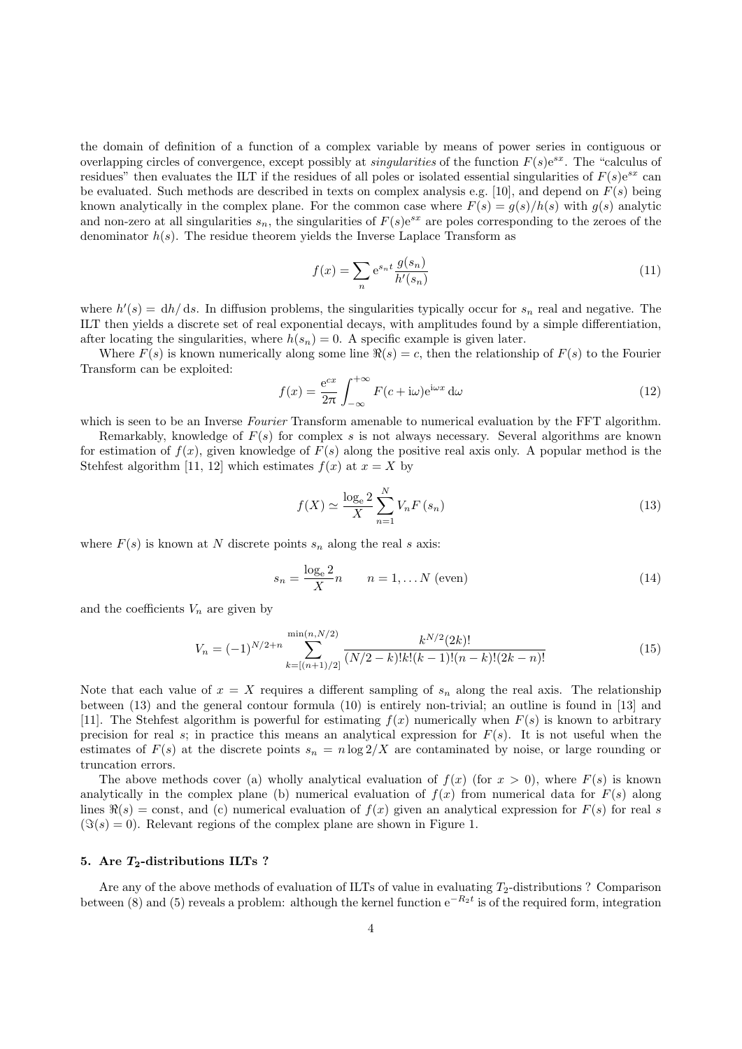the domain of definition of a function of a complex variable by means of power series in contiguous or overlapping circles of convergence, except possibly at *singularities* of the function  $F(s)e^{sx}$ . The "calculus of residues" then evaluates the ILT if the residues of all poles or isolated essential singularities of  $F(s)e^{sx}$  can be evaluated. Such methods are described in texts on complex analysis e.g. [10], and depend on  $F(s)$  being known analytically in the complex plane. For the common case where  $F(s) = q(s)/h(s)$  with  $q(s)$  analytic and non-zero at all singularities  $s_n$ , the singularities of  $F(s)e^{sx}$  are poles corresponding to the zeroes of the denominator  $h(s)$ . The residue theorem yields the Inverse Laplace Transform as

$$
f(x) = \sum_{n} e^{s_n t} \frac{g(s_n)}{h'(s_n)}
$$
(11)

where  $h'(s) = dh/ds$ . In diffusion problems, the singularities typically occur for  $s_n$  real and negative. The ILT then yields a discrete set of real exponential decays, with amplitudes found by a simple differentiation, after locating the singularities, where  $h(s_n) = 0$ . A specific example is given later.

Where  $F(s)$  is known numerically along some line  $\Re(s) = c$ , then the relationship of  $F(s)$  to the Fourier Transform can be exploited:

$$
f(x) = \frac{e^{cx}}{2\pi} \int_{-\infty}^{+\infty} F(c + i\omega)e^{i\omega x} d\omega
$$
 (12)

which is seen to be an Inverse Fourier Transform amenable to numerical evaluation by the FFT algorithm.

Remarkably, knowledge of  $F(s)$  for complex s is not always necessary. Several algorithms are known for estimation of  $f(x)$ , given knowledge of  $F(s)$  along the positive real axis only. A popular method is the Stehfest algorithm [11, 12] which estimates  $f(x)$  at  $x = X$  by

$$
f(X) \simeq \frac{\log_e 2}{X} \sum_{n=1}^{N} V_n F\left(s_n\right) \tag{13}
$$

where  $F(s)$  is known at N discrete points  $s_n$  along the real s axis:

$$
s_n = \frac{\log_e 2}{X} n \qquad n = 1, \dots N \text{ (even)}
$$
 (14)

and the coefficients  $V_n$  are given by

$$
V_n = (-1)^{N/2+n} \sum_{k=\lfloor (n+1)/2 \rfloor}^{\min(n,N/2)} \frac{k^{N/2}(2k)!}{(N/2-k)!k!(k-1)!(n-k)!(2k-n)!} \tag{15}
$$

Note that each value of  $x = X$  requires a different sampling of  $s_n$  along the real axis. The relationship between (13) and the general contour formula (10) is entirely non-trivial; an outline is found in [13] and [11]. The Stehfest algorithm is powerful for estimating  $f(x)$  numerically when  $F(s)$  is known to arbitrary precision for real s; in practice this means an analytical expression for  $F(s)$ . It is not useful when the estimates of  $F(s)$  at the discrete points  $s_n = n \log 2/X$  are contaminated by noise, or large rounding or truncation errors.

The above methods cover (a) wholly analytical evaluation of  $f(x)$  (for  $x > 0$ ), where  $F(s)$  is known analytically in the complex plane (b) numerical evaluation of  $f(x)$  from numerical data for  $F(s)$  along lines  $\Re(s) = \text{const}$ , and (c) numerical evaluation of  $f(x)$  given an analytical expression for  $F(s)$  for real s  $(\Im(s) = 0)$ . Relevant regions of the complex plane are shown in Figure 1.

# 5. Are  $T_2$ -distributions ILTs ?

Are any of the above methods of evaluation of ILTs of value in evaluating  $T_2$ -distributions ? Comparison between (8) and (5) reveals a problem: although the kernel function  $e^{-R_2t}$  is of the required form, integration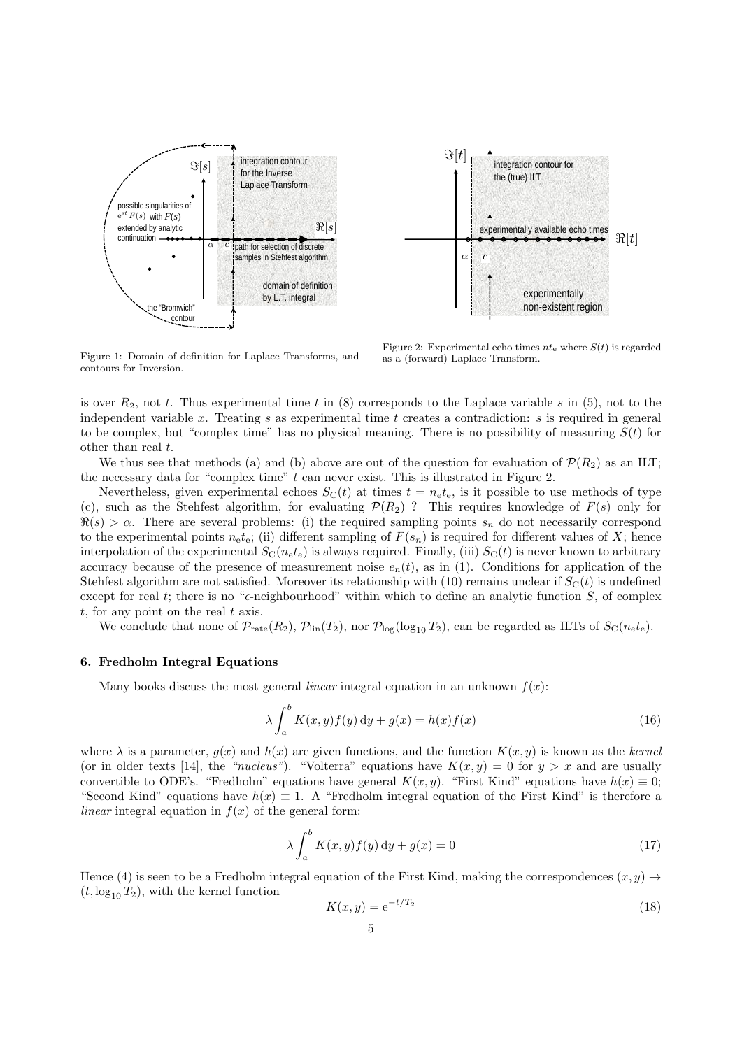



Figure 2: Experimental echo times  $nt_e$  where  $S(t)$  is regarded as a (forward) Laplace Transform.

Figure 1: Domain of definition for Laplace Transforms, and contours for Inversion.

is over  $R_2$ , not t. Thus experimental time t in (8) corresponds to the Laplace variable s in (5), not to the independent variable x. Treating s as experimental time t creates a contradiction: s is required in general to be complex, but "complex time" has no physical meaning. There is no possibility of measuring  $S(t)$  for other than real t.

We thus see that methods (a) and (b) above are out of the question for evaluation of  $\mathcal{P}(R_2)$  as an ILT; the necessary data for "complex time"  $t$  can never exist. This is illustrated in Figure 2.

Nevertheless, given experimental echoes  $S_{\text{C}}(t)$  at times  $t = n_e t_e$ , is it possible to use methods of type (c), such as the Stehfest algorithm, for evaluating  $\mathcal{P}(R_2)$  ? This requires knowledge of  $F(s)$  only for  $\Re(s) > \alpha$ . There are several problems: (i) the required sampling points  $s_n$  do not necessarily correspond to the experimental points  $n_{e}t_{e}$ ; (ii) different sampling of  $F(s_n)$  is required for different values of X; hence interpolation of the experimental  $S_{\text{C}}(n_{\text{e}}t_{\text{e}})$  is always required. Finally, (iii)  $S_{\text{C}}(t)$  is never known to arbitrary accuracy because of the presence of measurement noise  $e_n(t)$ , as in (1). Conditions for application of the Stehfest algorithm are not satisfied. Moreover its relationship with (10) remains unclear if  $S_{\text{C}}(t)$  is undefined except for real t; there is no " $\epsilon$ -neighbourhood" within which to define an analytic function S, of complex  $t$ , for any point on the real  $t$  axis.

We conclude that none of  $\mathcal{P}_{\text{rate}}(R_2)$ ,  $\mathcal{P}_{\text{lin}}(T_2)$ , nor  $\mathcal{P}_{\text{log}}(\log_{10} T_2)$ , can be regarded as ILTs of  $S_{\text{C}}(n_{\text{e}}t_{\text{e}})$ .

# 6. Fredholm Integral Equations

Many books discuss the most general *linear* integral equation in an unknown  $f(x)$ :

$$
\lambda \int_{a}^{b} K(x, y) f(y) dy + g(x) = h(x) f(x)
$$
\n(16)

where  $\lambda$  is a parameter,  $g(x)$  and  $h(x)$  are given functions, and the function  $K(x, y)$  is known as the kernel (or in older texts [14], the "nucleus"). "Volterra" equations have  $K(x, y) = 0$  for  $y > x$  and are usually convertible to ODE's. "Fredholm" equations have general  $K(x, y)$ . "First Kind" equations have  $h(x) \equiv 0$ ; "Second Kind" equations have  $h(x) \equiv 1$ . A "Fredholm integral equation of the First Kind" is therefore a linear integral equation in  $f(x)$  of the general form:

$$
\lambda \int_{a}^{b} K(x, y) f(y) dy + g(x) = 0 \tag{17}
$$

Hence (4) is seen to be a Fredholm integral equation of the First Kind, making the correspondences  $(x, y) \rightarrow$  $(t, \log_{10} T_2)$ , with the kernel function

$$
K(x, y) = e^{-t/T_2}
$$
\n(18)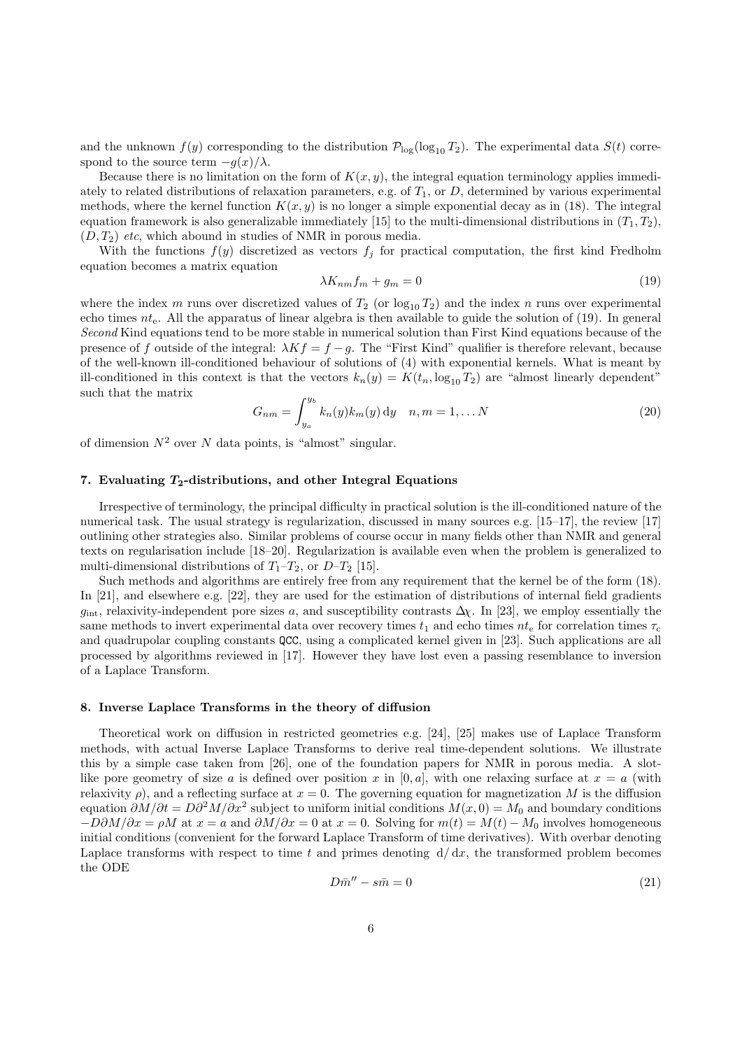and the unknown  $f(y)$  corresponding to the distribution  $\mathcal{P}_{\log}(\log_{10} T_2)$ . The experimental data  $S(t)$  correspond to the source term  $-g(x)/\lambda$ .

Because there is no limitation on the form of  $K(x, y)$ , the integral equation terminology applies immediately to related distributions of relaxation parameters, e.g. of  $T_1$ , or D, determined by various experimental methods, where the kernel function  $K(x, y)$  is no longer a simple exponential decay as in (18). The integral equation framework is also generalizable immediately [15] to the multi-dimensional distributions in  $(T_1, T_2)$ ,  $(D, T_2)$  etc, which abound in studies of NMR in porous media.

With the functions  $f(y)$  discretized as vectors  $f_j$  for practical computation, the first kind Fredholm equation becomes a matrix equation

$$
\lambda K_{nm} f_m + g_m = 0 \tag{19}
$$

where the index m runs over discretized values of  $T_2$  (or  $\log_{10} T_2$ ) and the index n runs over experimental echo times  $nt_e$ . All the apparatus of linear algebra is then available to guide the solution of (19). In general Second Kind equations tend to be more stable in numerical solution than First Kind equations because of the presence of f outside of the integral:  $\lambda Kf = f - g$ . The "First Kind" qualifier is therefore relevant, because of the well-known ill-conditioned behaviour of solutions of (4) with exponential kernels. What is meant by ill-conditioned in this context is that the vectors  $k_n(y) = K(t_n, \log_{10} T_2)$  are "almost linearly dependent" such that the matrix

$$
G_{nm} = \int_{y_a}^{y_b} k_n(y) k_m(y) \, dy \quad n, m = 1, \dots N
$$
 (20)

of dimension  $N^2$  over N data points, is "almost" singular.

#### 7. Evaluating  $T_2$ -distributions, and other Integral Equations

Irrespective of terminology, the principal difficulty in practical solution is the ill-conditioned nature of the numerical task. The usual strategy is regularization, discussed in many sources e.g. [15–17], the review [17] outlining other strategies also. Similar problems of course occur in many fields other than NMR and general texts on regularisation include [18–20]. Regularization is available even when the problem is generalized to multi-dimensional distributions of  $T_1-T_2$ , or  $D-T_2$  [15].

Such methods and algorithms are entirely free from any requirement that the kernel be of the form (18). In [21], and elsewhere e.g. [22], they are used for the estimation of distributions of internal field gradients  $g_{\text{int}}$ , relaxivity-independent pore sizes a, and susceptibility contrasts  $\Delta \chi$ . In [23], we employ essentially the same methods to invert experimental data over recovery times  $t_1$  and echo times  $nt_e$  for correlation times  $\tau_c$ and quadrupolar coupling constants QCC, using a complicated kernel given in [23]. Such applications are all processed by algorithms reviewed in [17]. However they have lost even a passing resemblance to inversion of a Laplace Transform.

### 8. Inverse Laplace Transforms in the theory of diffusion

Theoretical work on diffusion in restricted geometries e.g. [24], [25] makes use of Laplace Transform methods, with actual Inverse Laplace Transforms to derive real time-dependent solutions. We illustrate this by a simple case taken from [26], one of the foundation papers for NMR in porous media. A slotlike pore geometry of size a is defined over position x in [0, a], with one relaxing surface at  $x = a$  (with relaxivity  $\rho$ ), and a reflecting surface at  $x = 0$ . The governing equation for magnetization M is the diffusion equation  $\partial M/\partial t = D\partial^2 M/\partial x^2$  subject to uniform initial conditions  $M(x, 0) = M_0$  and boundary conditions  $-D\partial M/\partial x = \rho M$  at  $x = a$  and  $\partial M/\partial x = 0$  at  $x = 0$ . Solving for  $m(t) = M(t) - M_0$  involves homogeneous initial conditions (convenient for the forward Laplace Transform of time derivatives). With overbar denoting Laplace transforms with respect to time t and primes denoting  $d/dx$ , the transformed problem becomes the ODE

$$
D\bar{m}'' - s\bar{m} = 0\tag{21}
$$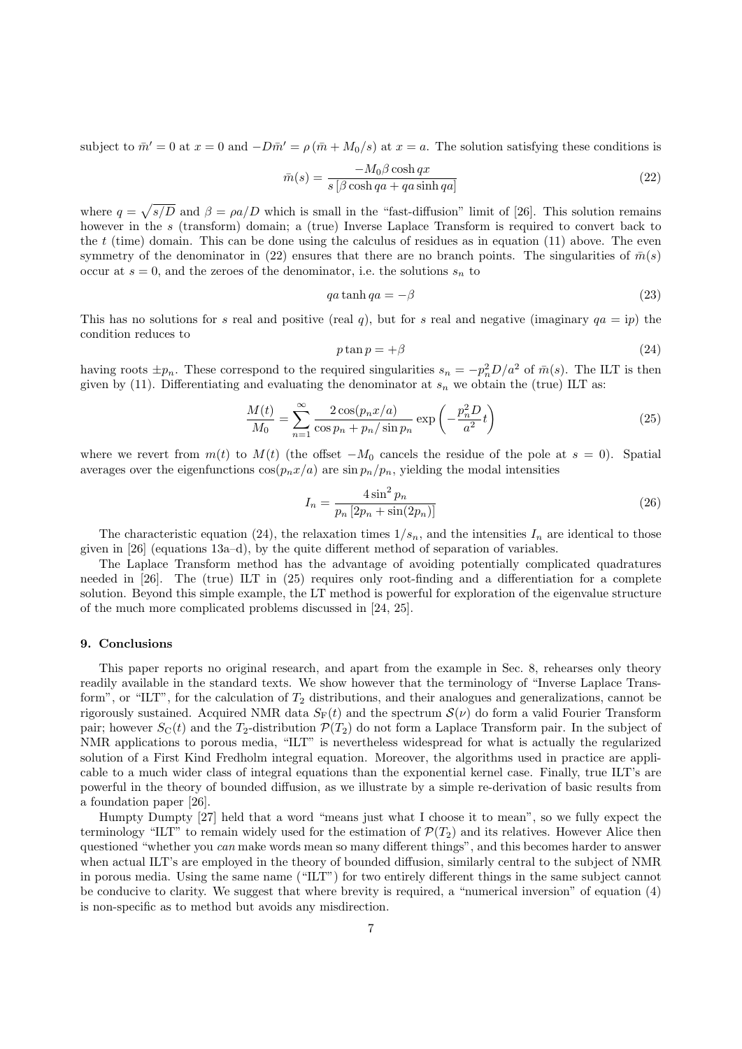subject to  $\bar{m}' = 0$  at  $x = 0$  and  $-D\bar{m}' = \rho (\bar{m} + M_0/s)$  at  $x = a$ . The solution satisfying these conditions is

$$
\bar{m}(s) = \frac{-M_0 \beta \cosh qx}{s \left[ \beta \cosh qa + qa \sinh qa \right]}
$$
\n(22)

where  $q = \sqrt{s/D}$  and  $\beta = \rho a/D$  which is small in the "fast-diffusion" limit of [26]. This solution remains however in the s (transform) domain; a (true) Inverse Laplace Transform is required to convert back to the  $t$  (time) domain. This can be done using the calculus of residues as in equation (11) above. The even symmetry of the denominator in (22) ensures that there are no branch points. The singularities of  $\bar{m}(s)$ occur at  $s = 0$ , and the zeroes of the denominator, i.e. the solutions  $s_n$  to

$$
qa\tanh qa = -\beta \tag{23}
$$

This has no solutions for s real and positive (real q), but for s real and negative (imaginary  $qa = ip$ ) the condition reduces to

$$
p \tan p = +\beta \tag{24}
$$

having roots  $\pm p_n$ . These correspond to the required singularities  $s_n = -p_n^2 D/a^2$  of  $\bar{m}(s)$ . The ILT is then given by (11). Differentiating and evaluating the denominator at  $s_n$  we obtain the (true) ILT as:

$$
\frac{M(t)}{M_0} = \sum_{n=1}^{\infty} \frac{2\cos(p_n x/a)}{\cos p_n + p_n/\sin p_n} \exp\left(-\frac{p_n^2 D}{a^2} t\right)
$$
\n(25)

where we revert from  $m(t)$  to  $M(t)$  (the offset  $-M_0$  cancels the residue of the pole at  $s = 0$ ). Spatial averages over the eigenfunctions  $\cos(p_n x/a)$  are  $\sin p_n/p_n$ , yielding the modal intensities

$$
I_n = \frac{4\sin^2 p_n}{p_n \left[2p_n + \sin(2p_n)\right]}
$$
\n
$$
(26)
$$

The characteristic equation (24), the relaxation times  $1/s_n$ , and the intensities  $I_n$  are identical to those given in [26] (equations 13a–d), by the quite different method of separation of variables.

The Laplace Transform method has the advantage of avoiding potentially complicated quadratures needed in [26]. The (true) ILT in (25) requires only root-finding and a differentiation for a complete solution. Beyond this simple example, the LT method is powerful for exploration of the eigenvalue structure of the much more complicated problems discussed in [24, 25].

# 9. Conclusions

This paper reports no original research, and apart from the example in Sec. 8, rehearses only theory readily available in the standard texts. We show however that the terminology of "Inverse Laplace Transform", or "ILT", for the calculation of  $T_2$  distributions, and their analogues and generalizations, cannot be rigorously sustained. Acquired NMR data  $S_F(t)$  and the spectrum  $\mathcal{S}(\nu)$  do form a valid Fourier Transform pair; however  $S_{\text{C}}(t)$  and the  $T_2$ -distribution  $\mathcal{P}(T_2)$  do not form a Laplace Transform pair. In the subject of NMR applications to porous media, "ILT" is nevertheless widespread for what is actually the regularized solution of a First Kind Fredholm integral equation. Moreover, the algorithms used in practice are applicable to a much wider class of integral equations than the exponential kernel case. Finally, true ILT's are powerful in the theory of bounded diffusion, as we illustrate by a simple re-derivation of basic results from a foundation paper [26].

Humpty Dumpty [27] held that a word "means just what I choose it to mean", so we fully expect the terminology "ILT" to remain widely used for the estimation of  $\mathcal{P}(T_2)$  and its relatives. However Alice then questioned "whether you *can* make words mean so many different things", and this becomes harder to answer when actual ILT's are employed in the theory of bounded diffusion, similarly central to the subject of NMR in porous media. Using the same name ("ILT") for two entirely different things in the same subject cannot be conducive to clarity. We suggest that where brevity is required, a "numerical inversion" of equation (4) is non-specific as to method but avoids any misdirection.